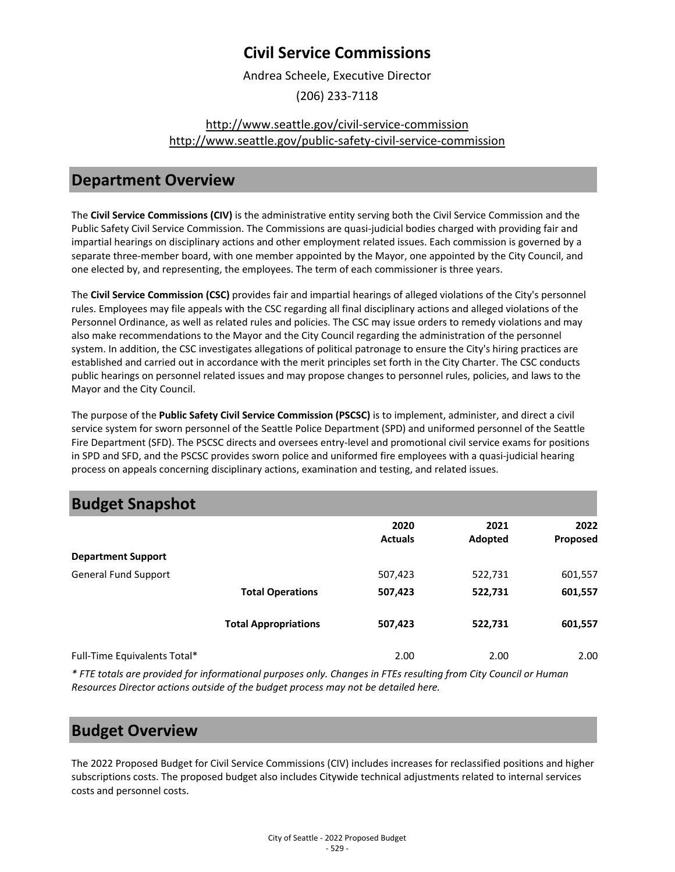## **Civil Service Commissions**

Andrea Scheele, Executive Director

(206) 233-7118

### [http://www.seattle.gov/civil-service-commission](http://www.seattle.gov/civil-service-commission%0Ahttp:/www.seattle.gov/public-safety-civil-service-commission) [http://www.seattle.gov/public-safety-civil-service-commission](http://www.seattle.gov/civil-service-commission%0Ahttp:/www.seattle.gov/public-safety-civil-service-commission)

### **Department Overview**

The **Civil Service Commissions (CIV)** is the administrative entity serving both the Civil Service Commission and the Public Safety Civil Service Commission. The Commissions are quasi-judicial bodies charged with providing fair and impartial hearings on disciplinary actions and other employment related issues. Each commission is governed by a separate three-member board, with one member appointed by the Mayor, one appointed by the City Council, and one elected by, and representing, the employees. The term of each commissioner is three years.

The **Civil Service Commission (CSC)** provides fair and impartial hearings of alleged violations of the City's personnel rules. Employees may file appeals with the CSC regarding all final disciplinary actions and alleged violations of the Personnel Ordinance, as well as related rules and policies. The CSC may issue orders to remedy violations and may also make recommendations to the Mayor and the City Council regarding the administration of the personnel system. In addition, the CSC investigates allegations of political patronage to ensure the City's hiring practices are established and carried out in accordance with the merit principles set forth in the City Charter. The CSC conducts public hearings on personnel related issues and may propose changes to personnel rules, policies, and laws to the Mayor and the City Council.

The purpose of the **Public Safety Civil Service Commission (PSCSC)** is to implement, administer, and direct a civil service system for sworn personnel of the Seattle Police Department (SPD) and uniformed personnel of the Seattle Fire Department (SFD). The PSCSC directs and oversees entry-level and promotional civil service exams for positions in SPD and SFD, and the PSCSC provides sworn police and uniformed fire employees with a quasi-judicial hearing process on appeals concerning disciplinary actions, examination and testing, and related issues.

| <b>Budget Snapshot</b>       |                             |                |         |          |
|------------------------------|-----------------------------|----------------|---------|----------|
|                              |                             | 2020           | 2021    | 2022     |
|                              |                             | <b>Actuals</b> | Adopted | Proposed |
| <b>Department Support</b>    |                             |                |         |          |
| <b>General Fund Support</b>  |                             | 507,423        | 522,731 | 601,557  |
|                              | <b>Total Operations</b>     | 507,423        | 522,731 | 601,557  |
|                              | <b>Total Appropriations</b> | 507,423        | 522,731 | 601,557  |
| Full-Time Equivalents Total* |                             | 2.00           | 2.00    | 2.00     |

*\* FTE totals are provided for informational purposes only. Changes in FTEs resulting from City Council or Human Resources Director actions outside of the budget process may not be detailed here.*

## **Budget Overview**

The 2022 Proposed Budget for Civil Service Commissions (CIV) includes increases for reclassified positions and higher subscriptions costs. The proposed budget also includes Citywide technical adjustments related to internal services costs and personnel costs.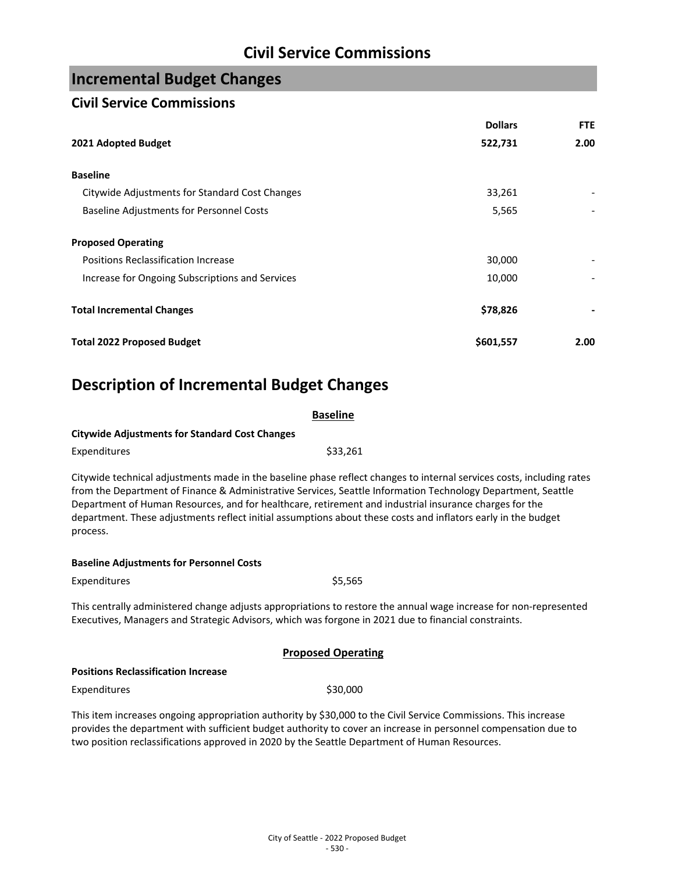# **Civil Service Commissions**

# **Incremental Budget Changes**

### **Civil Service Commissions**

|                                                 | <b>Dollars</b> | <b>FTE</b> |
|-------------------------------------------------|----------------|------------|
| 2021 Adopted Budget                             | 522,731        | 2.00       |
| <b>Baseline</b>                                 |                |            |
| Citywide Adjustments for Standard Cost Changes  | 33,261         |            |
| <b>Baseline Adjustments for Personnel Costs</b> | 5,565          |            |
| <b>Proposed Operating</b>                       |                |            |
| Positions Reclassification Increase             | 30,000         |            |
| Increase for Ongoing Subscriptions and Services | 10,000         |            |
| <b>Total Incremental Changes</b>                | \$78,826       |            |
| <b>Total 2022 Proposed Budget</b>               | \$601,557      | 2.00       |

# **Description of Incremental Budget Changes**

| <b>Baseline</b>                                                                                                                                                                                                                                                                                                                                                                                                                                                              |  |  |  |
|------------------------------------------------------------------------------------------------------------------------------------------------------------------------------------------------------------------------------------------------------------------------------------------------------------------------------------------------------------------------------------------------------------------------------------------------------------------------------|--|--|--|
| <b>Citywide Adjustments for Standard Cost Changes</b>                                                                                                                                                                                                                                                                                                                                                                                                                        |  |  |  |
| \$33,261<br>Expenditures                                                                                                                                                                                                                                                                                                                                                                                                                                                     |  |  |  |
| Citywide technical adjustments made in the baseline phase reflect changes to internal services costs, including rates<br>from the Department of Finance & Administrative Services, Seattle Information Technology Department, Seattle<br>Department of Human Resources, and for healthcare, retirement and industrial insurance charges for the<br>department. These adjustments reflect initial assumptions about these costs and inflators early in the budget<br>process. |  |  |  |
| <b>Baseline Adjustments for Personnel Costs</b>                                                                                                                                                                                                                                                                                                                                                                                                                              |  |  |  |
| \$5,565<br>Expenditures                                                                                                                                                                                                                                                                                                                                                                                                                                                      |  |  |  |
| This centrally administered change adjusts appropriations to restore the annual wage increase for non-represented<br>Executives, Managers and Strategic Advisors, which was forgone in 2021 due to financial constraints.                                                                                                                                                                                                                                                    |  |  |  |
| <b>Proposed Operating</b>                                                                                                                                                                                                                                                                                                                                                                                                                                                    |  |  |  |
| <b>Positions Reclassification Increase</b>                                                                                                                                                                                                                                                                                                                                                                                                                                   |  |  |  |
| \$30,000<br>Expenditures                                                                                                                                                                                                                                                                                                                                                                                                                                                     |  |  |  |
| This item increases ongoing appropriation authority by \$30,000 to the Civil Service Commissions. This increase<br>provides the department with sufficient budget authority to cover an increase in personnel compensation due to<br>two position reclassifications approved in 2020 by the Seattle Department of Human Resources.                                                                                                                                           |  |  |  |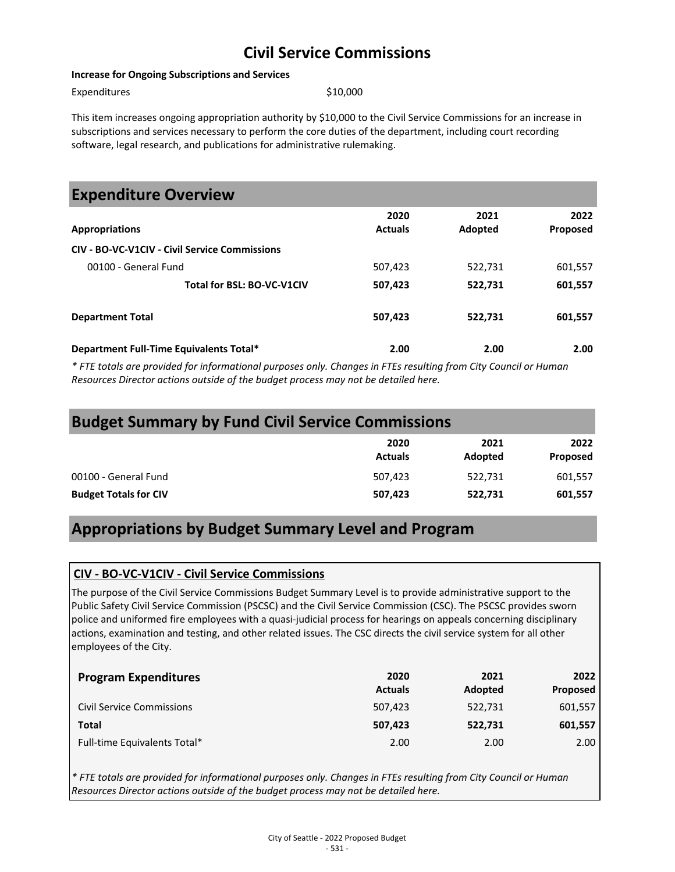# **Civil Service Commissions**

#### **Increase for Ongoing Subscriptions and Services**

Expenditures \$10,000

This item increases ongoing appropriation authority by \$10,000 to the Civil Service Commissions for an increase in subscriptions and services necessary to perform the core duties of the department, including court recording software, legal research, and publications for administrative rulemaking.

| <b>Expenditure Overview</b>                          |                        |                 |                         |
|------------------------------------------------------|------------------------|-----------------|-------------------------|
| <b>Appropriations</b>                                | 2020<br><b>Actuals</b> | 2021<br>Adopted | 2022<br><b>Proposed</b> |
| <b>CIV - BO-VC-V1CIV - Civil Service Commissions</b> |                        |                 |                         |
| 00100 - General Fund                                 | 507,423                | 522,731         | 601,557                 |
| Total for BSL: BO-VC-V1CIV                           | 507,423                | 522,731         | 601,557                 |
| <b>Department Total</b>                              | 507,423                | 522,731         | 601,557                 |
| Department Full-Time Equivalents Total*              | 2.00                   | 2.00            | 2.00                    |

*\* FTE totals are provided for informational purposes only. Changes in FTEs resulting from City Council or Human Resources Director actions outside of the budget process may not be detailed here.* 

| <b>Budget Summary by Fund Civil Service Commissions</b> |                        |                 |                  |
|---------------------------------------------------------|------------------------|-----------------|------------------|
|                                                         | 2020<br><b>Actuals</b> | 2021<br>Adopted | 2022<br>Proposed |
| 00100 - General Fund                                    | 507.423                | 522,731         | 601,557          |
| <b>Budget Totals for CIV</b>                            | 507,423                | 522,731         | 601,557          |

# **Appropriations by Budget Summary Level and Program**

#### **CIV - BO-VC-V1CIV - Civil Service Commissions**

The purpose of the Civil Service Commissions Budget Summary Level is to provide administrative support to the Public Safety Civil Service Commission (PSCSC) and the Civil Service Commission (CSC). The PSCSC provides sworn police and uniformed fire employees with a quasi-judicial process for hearings on appeals concerning disciplinary actions, examination and testing, and other related issues. The CSC directs the civil service system for all other employees of the City.

| <b>Program Expenditures</b>      | 2020<br><b>Actuals</b> | 2021<br>Adopted | 2022<br>Proposed |
|----------------------------------|------------------------|-----------------|------------------|
| <b>Civil Service Commissions</b> | 507,423                | 522,731         | 601,557          |
| Total                            | 507,423                | 522,731         | 601,557          |
| Full-time Equivalents Total*     | 2.00                   | 2.00            | 2.00             |

*\* FTE totals are provided for informational purposes only. Changes in FTEs resulting from City Council or Human Resources Director actions outside of the budget process may not be detailed here.*